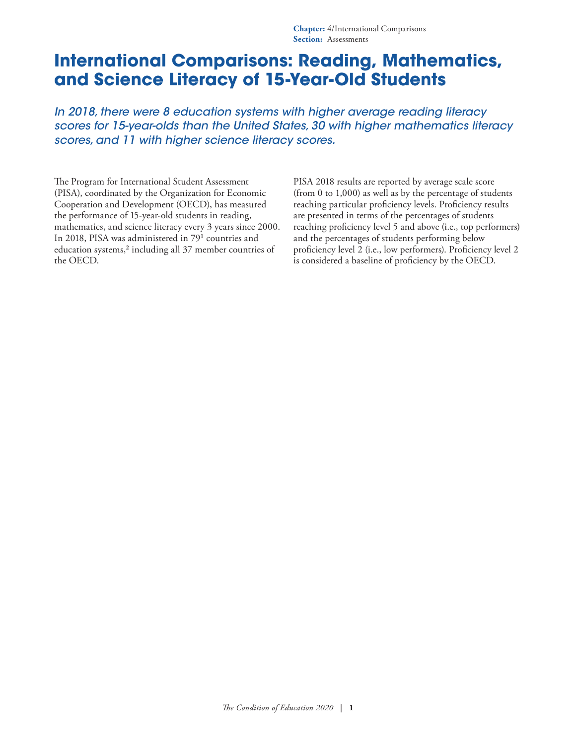*In 2018, there were 8 education systems with higher average reading literacy scores for 15-year-olds than the United States, 30 with higher mathematics literacy scores, and 11 with higher science literacy scores.*

The Program for International Student Assessment (PISA), coordinated by the Organization for Economic Cooperation and Development (OECD), has measured the performance of 15-year-old students in reading, mathematics, and science literacy every 3 years since 2000. In 2018, PISA was administered in 7[91](#page-9-0) countries and education systems,<sup>[2](#page-9-1)</sup> including all 37 member countries of the OECD.

PISA 2018 results are reported by average scale score (from 0 to 1,000) as well as by the percentage of students reaching particular proficiency levels. Proficiency results are presented in terms of the percentages of students reaching proficiency level 5 and above (i.e., top performers) and the percentages of students performing below proficiency level 2 (i.e., low performers). Proficiency level 2 is considered a baseline of proficiency by the OECD.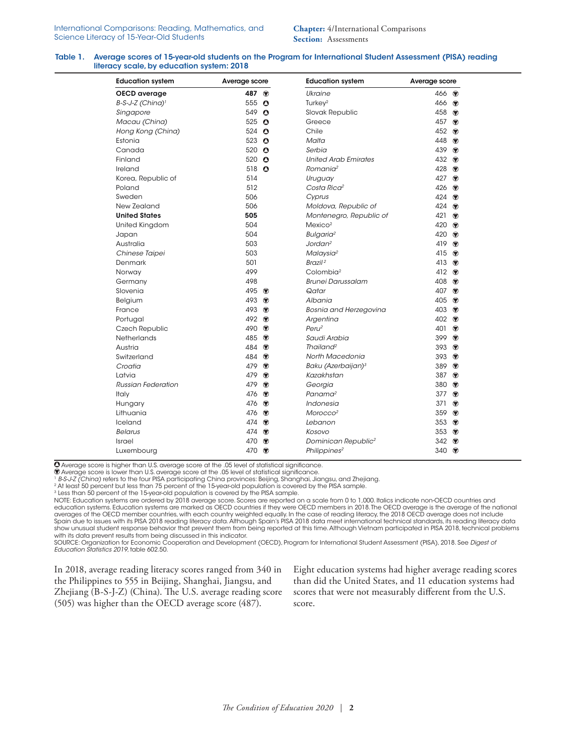#### Table 1. Average scores of 15-year-old students on the Program for International Student Assessment (PISA) reading literacy scale, by education system: 2018

| <b>Education system</b>      | Average score         |  | <b>Education system</b>         | Average score        |  |  |
|------------------------------|-----------------------|--|---------------------------------|----------------------|--|--|
| OECD average                 | 487 ↔                 |  | Ukraine                         | 466 ♥                |  |  |
| B-S-J-Z (China) <sup>1</sup> | 555<br>$\bullet$      |  | Turkey <sup>2</sup>             | 466 $\bullet$        |  |  |
| Singapore                    | 549<br>$\bullet$      |  | Slovak Republic                 | 458<br>$\circledast$ |  |  |
| Macau (China)                | 525<br>$\bullet$      |  | Greece                          | 457<br>$\circledast$ |  |  |
| Hong Kong (China)            | 524<br>$\bullet$      |  | Chile                           | 452<br>$\circledast$ |  |  |
| Estonia                      | 523<br>$\bullet$      |  | Malta                           | 448<br>$\circledast$ |  |  |
| Canada                       | $\bullet$<br>520      |  | Serbia                          | 439<br>$\circledast$ |  |  |
| Finland                      | 520 $\bullet$         |  | <b>United Arab Emirates</b>     | 432 ↔                |  |  |
| Ireland                      | 518<br>$\bullet$      |  | Romania <sup>2</sup>            | 428<br>$\bullet$     |  |  |
| Korea, Republic of           | 514                   |  | Uruguay                         | 427<br>$\circledast$ |  |  |
| Poland                       | 512                   |  | Costa Rica <sup>2</sup>         | 426<br>◉             |  |  |
| Sweden                       | 506                   |  | Cyprus                          | 424<br>$\circledast$ |  |  |
| New Zealand                  | 506                   |  | Moldova, Republic of            | 424<br>$\circledast$ |  |  |
| <b>United States</b>         | 505                   |  | Montenegro, Republic of         | 421<br>$\circledast$ |  |  |
| United Kingdom               | 504                   |  | Mexico <sup>2</sup>             | 420<br>$\circledast$ |  |  |
| Japan                        | 504                   |  | Bulgaria <sup>2</sup>           | 420<br>$\circledast$ |  |  |
| Australia                    | 503                   |  | Jordan <sup>2</sup>             | 419<br>$\bullet$     |  |  |
| Chinese Taipei               | 503                   |  | Malaysia <sup>2</sup>           | 415<br>$\circledast$ |  |  |
| Denmark                      | 501                   |  | Brazil <sup>2</sup>             | 413<br>$\bullet$     |  |  |
| Norway                       | 499                   |  | Colombia <sup>2</sup>           | 412 $\circledast$    |  |  |
| Germany                      | 498                   |  | <b>Brunei Darussalam</b>        | 408<br>$\circledast$ |  |  |
| Slovenia                     | 495<br>$\circledast$  |  | Qatar                           | 407<br>$\bullet$     |  |  |
| Belgium                      | 493<br>$^\circledR$   |  | Albania                         | 405<br>$\circledast$ |  |  |
| France                       | 493<br>◉              |  | <b>Bosnia and Herzegovina</b>   | 403<br>$\circledast$ |  |  |
| Portugal                     | 492<br>۲              |  | Argentina                       | 402<br>◉             |  |  |
| Czech Republic               | $\circledcirc$<br>490 |  | Peru <sup>2</sup>               | 401<br>$\circledast$ |  |  |
| <b>Netherlands</b>           | 485<br>۲              |  | Saudi Arabia                    | 399<br>$\circledast$ |  |  |
| Austria                      | ۲<br>484              |  | Thailand <sup>2</sup>           | $\circledast$<br>393 |  |  |
| Switzerland                  | $\bullet$<br>484      |  | North Macedonia                 | 393<br>$\circledast$ |  |  |
| Croatia                      | 479<br>$^\circledR$   |  | Baku (Azerbaijan) <sup>3</sup>  | 389<br>◉             |  |  |
| Latvia                       | 479<br>۲              |  | Kazakhstan                      | 387<br>$\circledast$ |  |  |
| <b>Russian Federation</b>    | $\circledast$<br>479  |  | Georgia                         | $\bullet$<br>380     |  |  |
| <b>Italy</b>                 | $\circledcirc$<br>476 |  | Panama <sup>2</sup>             | 377<br>$\circledast$ |  |  |
| Hungary                      | ۲<br>476              |  | <b>Indonesia</b>                | 371<br>◉             |  |  |
| Lithuania                    | $^\circledR$<br>476   |  | Morocco <sup>2</sup>            | 359<br>◉             |  |  |
| Iceland                      | 474<br>$^\circledR$   |  | Lebanon                         | 353<br>$\circledast$ |  |  |
| <b>Belarus</b>               | ۲<br>474              |  | Kosovo                          | 353<br>$\circledast$ |  |  |
| <b>Israel</b>                | $\circledast$<br>470  |  | Dominican Republic <sup>2</sup> | $\bullet$<br>342     |  |  |
| Luxembourg                   | 470<br>$^\circledR$   |  | Philippines <sup>2</sup>        | 340<br>$\bullet$     |  |  |

Average score is higher than U.S. average score at the .05 level of statistical significance.

 $\overline{\mathcal{O}}$  Average score is lower than U.S. average score at the .05 level of statistical significance.<br>1 B-S-J-Z (China) refers to the four PISA participating China provinces: Beijing, Shanghai, Jiangsu, and Zhejiang.

<sup>2</sup> At least 50 percent but less than 75 percent of the 15-year-old population is covered by the PISA sample.

<sup>3</sup> Less than 50 percent of the 15-year-old population is covered by the PISA sample.

NOTE: Education systems are ordered by 2018 average score. Scores are reported on a scale from 0 to 1,000. Italics indicate non-OECD countries and education systems. Education systems are marked as OECD countries if they were OECD members in 2018. The OECD average is the average of the national averages of the OECD member countries, with each country weighted equally. In the case of reading literacy, the 2018 OECD average does not include Spain due to issues with its PISA 2018 reading literacy data. Although Spain's PISA 2018 data meet international technical standards, its reading literacy data show unusual student response behavior that prevent them from being reported at this time. Although Vietnam participated in PISA 2018, technical problems with its data prevent results from being discussed in this indicator.

SOURCE: Organization for Economic Cooperation and Development (OECD), Program for International Student Assessment (PISA), 2018. See *Digest of Education Statistics 2019*, table 602.50.

In 2018, average reading literacy scores ranged from 340 in the Philippines to 555 in Beijing, Shanghai, Jiangsu, and Zhejiang (B-S-J-Z) (China). The U.S. average reading score (505) was higher than the OECD average score (487).

Eight education systems had higher average reading scores than did the United States, and 11 education systems had scores that were not measurably different from the U.S. score.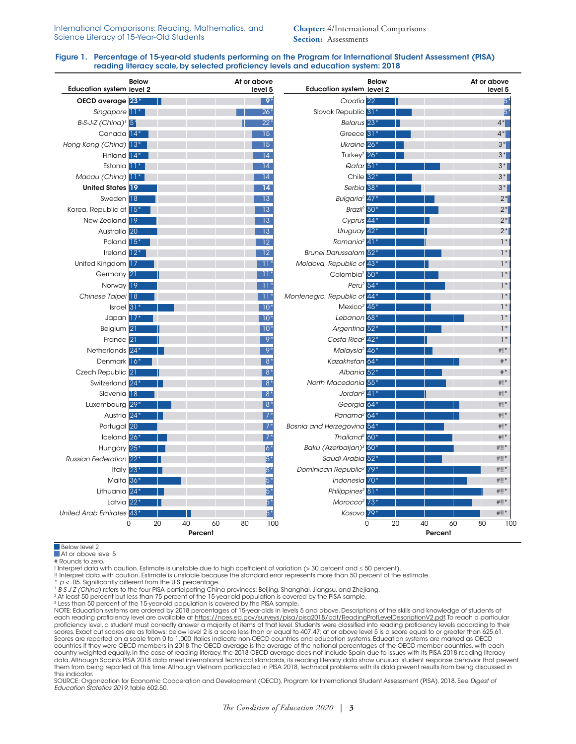**Chapter:** 4/International Comparisons **Section:** Assessments

#### Figure 1. Percentage of 15-year-old students performing on the Program for International Student Assessment (PISA) reading literacy scale, by selected proficiency levels and education system: 2018

| <b>Below</b><br><b>Education system level 2</b>  |          |         | At or above | level 5      | <b>Education system level 2</b>         | <b>Below</b> |          |    | At or above | level 5 |
|--------------------------------------------------|----------|---------|-------------|--------------|-----------------------------------------|--------------|----------|----|-------------|---------|
| OECD average 23*                                 |          |         |             | $9*$         | Croatia <sup>22</sup>                   |              |          |    |             | 5*      |
| Singapore <sup>11</sup>                          |          |         |             | $26*$        | Slovak Republic 31*                     |              |          |    |             | $5^*$   |
| $B-S-J-Z$ (China) <sup><math>1</math></sup> $5*$ |          |         |             | $22*$        | Belarus <sup>23*</sup>                  |              |          |    |             | $4*$    |
| Canada <sup>14*</sup>                            |          |         |             | 15           | Greece <sup>31*</sup>                   |              |          |    |             | $4*$    |
| Hong Kong (China) 13*                            |          |         |             | 15           | Ukraine <sup>26*</sup>                  |              |          |    |             | $3*$    |
| Finland 14*                                      |          |         |             | 14           | Turkey <sup>2</sup> 26 <sup>°</sup>     |              |          |    |             | $3*$    |
| Estonia 11 <sup>*</sup>                          |          |         |             | 14           | Qatar <sup>51</sup>                     |              |          |    |             | $3^*$   |
| Macau (China) 11*                                |          |         |             | 14           | Chile $32*$                             |              |          |    |             | $3^*$   |
| <b>United States 19</b>                          |          |         |             | 14           | Serbia <sup>38*</sup>                   |              |          |    |             | $3^*$   |
| Sweden 18                                        |          |         |             | 13           | Bulgaria <sup>2</sup> 47*               |              |          |    |             | $2^*$   |
| Korea, Republic of 15*                           |          |         |             | 13           | Brazi $\frac{2}{50}$ *                  |              |          |    |             | $2^*$   |
| New Zealand 19                                   |          |         |             | 13           | Cyprus 44*                              |              |          |    |             | $2^*$   |
| Australia <sup>20</sup>                          |          |         |             | 13           | Uruguay 42*                             |              |          |    |             | $2*$    |
| Poland 15*                                       |          |         |             | 12           | Romania <sup>2</sup> 41 <sup>°</sup>    |              |          |    |             | $1*$    |
| Ireland 12*                                      |          |         |             | 12           | Brunei Darussalam 52*                   |              |          |    |             | $1*$    |
| United Kingdom 17                                |          |         |             | $11*$        | Moldova, Republic of 43*                |              |          |    |             | $1*$    |
| Germany <sup>21</sup>                            |          |         |             | -11          | Colombia <sup>2</sup> 50 <sup>*</sup>   |              |          |    |             | $1*$    |
| Norway 19                                        |          |         |             | $11^{\circ}$ | Peru $2\overline{54}$ *                 |              |          |    |             | $1*$    |
| Chinese Taipei 18                                |          |         |             | $11*$        | Montenegro, Republic of 44*             |              |          |    |             | $1*$    |
| Israel <sup>31</sup>                             |          |         |             | $10*$        | Mexico <sup>2</sup> $45*$               |              |          |    |             | $1*$    |
| Japan 17*                                        |          |         |             | $10*$        | Lebanon <sup>68*</sup>                  |              |          |    |             | $1*$    |
| Belgium 21                                       |          |         |             | $10*$        | Argentina <sup>52*</sup>                |              |          |    |             | $1*$    |
| France <sup>21</sup>                             |          |         |             | $9*$         | Costa Rica <sup>2</sup> 42 <sup>*</sup> |              |          |    |             | $1*$    |
| Netherlands 24*                                  |          |         |             | $9^{\circ}$  | Malaysia <sup>2</sup> 46*               |              |          |    |             | $#$ !*  |
| Denmark 16*                                      |          |         |             | $8*$         | Kazakhstan 64*                          |              |          |    |             | $#$ *   |
| Czech Republic 21                                |          |         |             | $8*$         | Albania 52*                             |              |          |    |             | $#$ *   |
| Switzerland 24*                                  |          |         |             | $8*$         | North Macedonia 55*                     |              |          |    |             | # $!$ * |
| Slovenia 18                                      |          |         |             | $8*$         | Jordan <sup>2</sup> $41*$               |              |          |    |             | # $!$ * |
| Luxembourg 29*                                   |          |         |             | $8*$         | Georgia 64                              |              |          |    |             | # $!$ * |
| Austria 24*                                      |          |         |             | $7*$         | Panama <sup>2</sup> 64*                 |              |          |    |             | $#$ !*  |
| Portugal 20                                      |          |         |             | $7*$         | Bosnia and Herzegovina 54*              |              |          |    |             | $#$ !*  |
| Iceland 26*                                      |          |         |             | $7*$         | Thailand <sup>2</sup> 60*               |              |          |    |             | $#$ !*  |
| Hungary 25*                                      |          |         |             | $ 6^*$       | Baku (Azerbaijan) <sup>3</sup> 60°      |              |          |    |             | $#!!$ * |
| <b>Russian Federation</b> 22 <sup>*</sup>        |          |         |             | $5^*$        | Saudi Arabia 52*                        |              |          |    |             | $#  $ * |
| Italy $23*$                                      |          |         |             | $5*$         | Dominican Republic <sup>2</sup> 79*     |              |          |    |             | $#!!$ * |
| Malta 36*                                        |          |         |             | 5*           | Indonesia 70*                           |              |          |    |             | $#  $ * |
| Lithuania 24*                                    |          |         |             | 5*           | Philippines <sup>2</sup> 81             |              |          |    |             | $#!!$ * |
| Latvia $22*$                                     |          |         |             | $5^*$        | Morocco <sup>2</sup> 73 <sup>*</sup>    |              |          |    |             | $#!!$ * |
| United Arab Emirates 43*                         |          |         |             | 5*           | Kosovo 79*                              |              |          |    |             | $#!!$ * |
| $\Omega$                                         | 20<br>40 | 60      | 80          | 100          |                                         | 0            | 20<br>40 | 60 | 80          | 100     |
|                                                  |          | Percent |             |              |                                         |              | Percent  |    |             |         |

**Below level 2** 

At or above level 5

# Rounds to zero.

! Interpret data with caution. Estimate is unstable due to high coefficient of variation (> 30 percent and ≤ 50 percent).

!! Interpret data with caution. Estimate is unstable because the standard error represents more than 50 percent of the estimate.<br>\* p < .05. Significantly different from the U.S. percentage.

PS-12 (China) refers to the four PISA participating China provinces: Beijing, Shanghai, Jiangsu, and Zhejiang.<br>
<sup>2</sup> At least 50 percent but less than 75 percent of the 15-year-old population is covered by the PISA sample.

<sup>3</sup> Less than 50 percent of the 15-year-old population is covered by the PISA sample.<br>NOTE: Education systems are ordered by 2018 percentages of 15-year-olds in levels 5 and above. Descriptions of the skills and knowledge each reading proficiency level are available at<https://nces.ed.gov/surveys/pisa/pisa2018/pdf/ReadingProfLevelDescriptionV2.pdf>. To reach a particular proficiency level, a student must correctly answer a majority of items at that level. Students were classified into reading proficiency levels according to their scores. Exact cut scores are as follows: below level 2 is a score less than or equal to 407.47; at or above level 5 is a score equal to or greater than 625.61. Scores are reported on a scale from 0 to 1,000. Italics indicate non-OECD countries and education systems. Education systems are marked as OECD<br>countries if they were OECD members in 2018.The OECD average is the average of them from being reported at this time. Although Vietnam participated in PISA 2018, technical problems with its data prevent results from being discussed in this indicator.

SOURCE: Organization for Economic Cooperation and Development (OECD), Program for International Student Assessment (PISA), 2018. See *Digest of Education Statistics 2019*, table 602.50.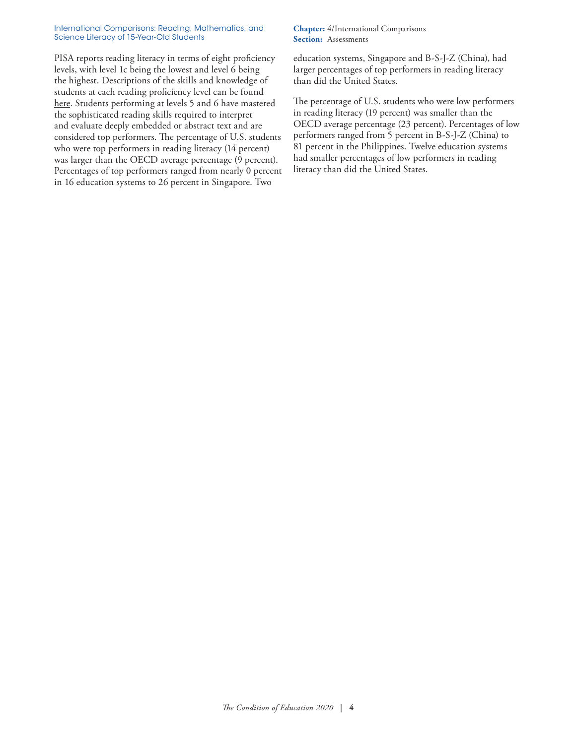PISA reports reading literacy in terms of eight proficiency levels, with level 1c being the lowest and level 6 being the highest. Descriptions of the skills and knowledge of students at each reading proficiency level can be found [here.](https://nces.ed.gov/surveys/pisa/pisa2018/pdf/ReadingProfLevelDescriptionV2.pdf) Students performing at levels 5 and 6 have mastered the sophisticated reading skills required to interpret and evaluate deeply embedded or abstract text and are considered top performers. The percentage of U.S. students who were top performers in reading literacy (14 percent) was larger than the OECD average percentage (9 percent). Percentages of top performers ranged from nearly 0 percent in 16 education systems to 26 percent in Singapore. Two

# **Chapter:** 4/International Comparisons **Section:** Assessments

education systems, Singapore and B-S-J-Z (China), had larger percentages of top performers in reading literacy than did the United States.

The percentage of U.S. students who were low performers in reading literacy (19 percent) was smaller than the OECD average percentage (23 percent). Percentages of low performers ranged from 5 percent in B-S-J-Z (China) to 81 percent in the Philippines. Twelve education systems had smaller percentages of low performers in reading literacy than did the United States.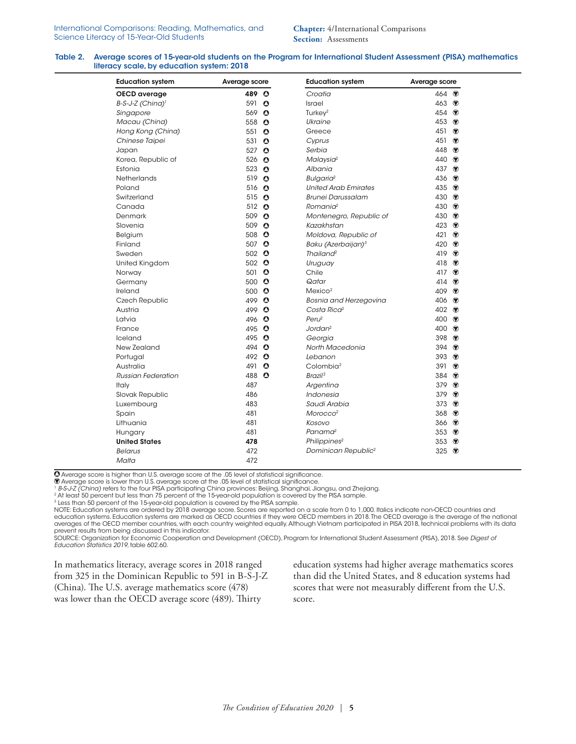#### Table 2. Average scores of 15-year-old students on the Program for International Student Assessment (PISA) mathematics literacy scale, by education system: 2018

| <b>Education system</b>      |               | <b>Education system</b><br>Average score |                                 | Average score     |                |  |
|------------------------------|---------------|------------------------------------------|---------------------------------|-------------------|----------------|--|
| OECD average                 | 489 O         |                                          | Croatia                         | 464 $\bullet$     |                |  |
| B-S-J-Z (China) <sup>1</sup> | 591 $\bullet$ |                                          | Israel                          | 463 ♥             |                |  |
| Singapore                    | 569           | $\bullet$                                | Turkey $2$                      | 454 $\circledast$ |                |  |
| Macau (China)                | 558           | $\bullet$                                | Ukraine                         | 453 $\bullet$     |                |  |
| Hong Kong (China)            | 551           | $\bullet$                                | Greece                          | 451               | ◉              |  |
| Chinese Taipei               | 531           | $\bullet$                                | Cyprus                          | 451               | ◉              |  |
| Japan                        | 527           | $\bullet$                                | Serbia                          | 448               | ◉              |  |
| Korea, Republic of           | 526           | $\bullet$                                | Malaysia <sup>2</sup>           | 440 ♥             |                |  |
| Estonia                      | 523           | $\bullet$                                | Albania                         | 437 $\circledast$ |                |  |
| Netherlands                  | 519           | $\bullet$                                | Bulgaria <sup>2</sup>           | 436 $\circ$       |                |  |
| Poland                       | 516 $\bullet$ |                                          | <b>United Arab Emirates</b>     | 435 $\circledast$ |                |  |
| Switzerland                  | 515           | $\bullet$                                | <b>Brunei Darussalam</b>        | 430 $\circ$       |                |  |
| Canada                       | 512 $\bullet$ |                                          | Romania <sup>2</sup>            | 430 ↔             |                |  |
| Denmark                      | 509           | $\bullet$                                | Montenegro, Republic of         | 430 ↔             |                |  |
| Slovenia                     | 509 $\bullet$ |                                          | Kazakhstan                      | 423 ♥             |                |  |
| Belgium                      | 508 0         |                                          | Moldova, Republic of            | 421               | $\circledast$  |  |
| Finland                      | 507 0         |                                          | Baku (Azerbaijan) <sup>3</sup>  | 420               | $\circledcirc$ |  |
| Sweden                       | 502 $\bullet$ |                                          | $\text{Trail}$ and <sup>2</sup> | 419 $\circledast$ |                |  |
| United Kingdom               | 502 $\bullet$ |                                          | Uruguay                         | 418               | ◉              |  |
| Norway                       | 501 $\bullet$ |                                          | Chile                           | 417 $\circledast$ |                |  |
| Germany                      | 500 0         |                                          | Qatar                           | 414 $\bullet$     |                |  |
| Ireland                      | 500 $\bullet$ |                                          | Mexico <sup>2</sup>             | 409 $\circ$       |                |  |
| Czech Republic               | 499 0         |                                          | <b>Bosnia and Herzegovina</b>   | 406 $\circ$       |                |  |
| Austria                      | 499 O         |                                          | Costa Rica <sup>2</sup>         | 402 ↔             |                |  |
| Latvia                       | 496 0         |                                          | Per <sub>l</sub> <sup>2</sup>   | 400 ↔             |                |  |
| France                       | 495 0         |                                          | Jordan <sup>2</sup>             | 400 ↔             |                |  |
| Iceland                      | 495 $\bullet$ |                                          | Georgia                         | 398 $\circledast$ |                |  |
| New Zealand                  | 494           | $\bullet$                                | North Macedonia                 | 394 $\circledast$ |                |  |
| Portugal                     | 492 0         |                                          | Lebanon                         | 393 ♥             |                |  |
| Australia                    | 491           | $\bullet$                                | Colombia <sup>2</sup>           | 391 ♥             |                |  |
| <b>Russian Federation</b>    | 488           | $\bullet$                                | Brazil <sup>2</sup>             | 384               | ◉              |  |
| Italy                        | 487           |                                          | Argentina                       | 379 $\circledast$ |                |  |
| Slovak Republic              | 486           |                                          | Indonesia                       | 379 $\circledast$ |                |  |
| Luxembourg                   | 483           |                                          | Saudi Arabia                    | 373 $\bullet$     |                |  |
| Spain                        | 481           |                                          | Morocco <sup>2</sup>            | 368 $\circledast$ |                |  |
| Lithuania                    | 481           |                                          | Kosovo                          | 366 $•$           |                |  |
| Hungary                      | 481           |                                          | Panama <sup>2</sup>             | 353 $\circledast$ |                |  |
| <b>United States</b>         | 478           |                                          | Philippines <sup>2</sup>        | 353 $•$           |                |  |
| <b>Belarus</b>               | 472           |                                          | Dominican Republic <sup>2</sup> | 325               | $\circledast$  |  |
| Malta                        | 472           |                                          |                                 |                   |                |  |

Average score is higher than U.S. average score at the .05 level of statistical significance.

 $\overline{\Phi}$  Average score is lower than U.S. average score at the .05 level of statistical significance.<br>1 B-S-J-Z (China) refers to the four PISA participating China provinces: Beijing, Shanghai, Jiangsu, and Zhejiang.

<sup>2</sup> At least 50 percent but less than 75 percent of the 15-year-old population is covered by the PISA sample.

3 Less than 50 percent of the 15-year-old population is covered by the PISA sample.

NOTE: Education systems are ordered by 2018 average score. Scores are reported on a scale from 0 to 1,000. Italics indicate non-OECD countries and<br>education systems. Education systems are marked as OECD countries if they w averages of the OECD member countries, with each country weighted equally. Although Vietnam participated in PISA 2018, technical problems with its data prevent results from being discussed in this indicator.<br>SOURCE: Organization for Economic Cooperation and Development (OECD), Program for International Student Assessment (PISA), 2018. See *Digest of* 

*Education Statistics 2019*, table 602.60.

In mathematics literacy, average scores in 2018 ranged from 325 in the Dominican Republic to 591 in B-S-J-Z (China). The U.S. average mathematics score (478) was lower than the OECD average score (489). Thirty

education systems had higher average mathematics scores than did the United States, and 8 education systems had scores that were not measurably different from the U.S. score.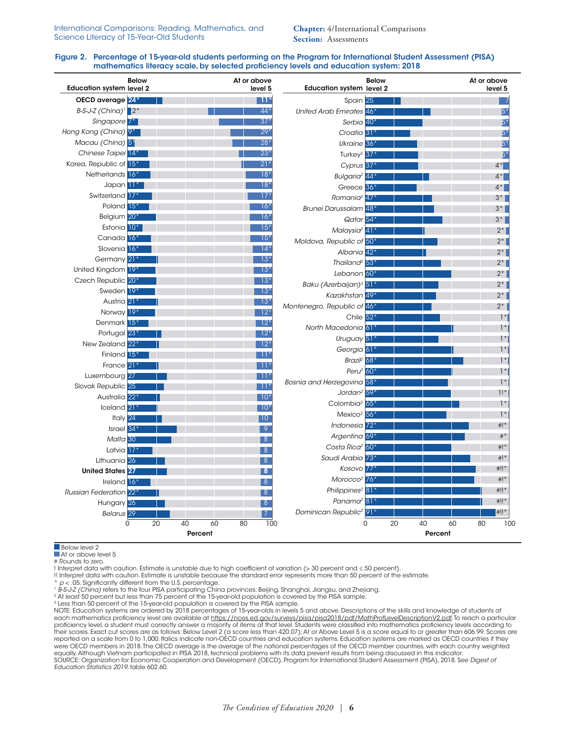**Chapter:** 4/International Comparisons **Section:** Assessments

## Figure 2. Percentage of 15-year-old students performing on the Program for International Student Assessment (PISA) mathematics literacy scale, by selected proficiency levels and education system: 2018

| <b>Below</b><br><b>Education system level 2</b> | At or above<br>level 5    | <b>Education system level 2</b>                          | <b>Below</b> |                     |    | At or above<br>level 5 |           |
|-------------------------------------------------|---------------------------|----------------------------------------------------------|--------------|---------------------|----|------------------------|-----------|
| OECD average 24*                                | $11*$                     | Spain 25                                                 |              |                     |    |                        |           |
| $B-S-J-Z$ (China) <sup>1</sup> 2 <sup>*</sup>   | $44*$                     | United Arab Emirates 46*                                 |              |                     |    |                        | $5*$      |
| Singapore <sup>7*</sup>                         | 37'                       | Serbia <sup>40*</sup>                                    |              |                     |    |                        | 5*        |
| Hong Kong (China) 9*                            | 29 <sup>3</sup>           | Croatia <sup>31*</sup>                                   |              |                     |    |                        | 5*        |
| Macau (China) 5*                                | $28*$                     | Ukraine <sup>36*</sup>                                   |              |                     |    |                        | 5*        |
| Chinese Taipei 14*                              | $23*$                     | Turkey <sup>2</sup> 37                                   |              |                     |    |                        | 5*        |
| Korea, Republic of 15*                          | $21*$                     | Cyprus 37*                                               |              |                     |    | $4^*$                  |           |
| Netherlands 16                                  | $18*$                     | Bulgaria <sup>2</sup> 44 <sup>*</sup>                    |              |                     |    | $4^*$                  |           |
| Japan <sup>11</sup>                             | $18*$                     | Greece <sup>36*</sup>                                    |              |                     |    | $4^*$                  |           |
| Switzerland 17                                  | $17^{\circ}$              | Romania <sup>2</sup> 47 <sup>*</sup>                     |              |                     |    | $3*$                   |           |
| Poland 15 <sup>*</sup>                          | $16*$                     | <b>Brunei Darussalam</b> 48 <sup>*</sup>                 |              |                     |    | $3*$                   |           |
| Belgium 20°                                     | 16*                       | Qatar 54*                                                |              |                     |    | $3^*$                  |           |
| Estonia 10*                                     | $15*$                     | Malaysia <sup>2</sup> 41                                 |              |                     |    | $2^*$                  |           |
| Canada <sup>16*</sup>                           | $15*$                     | Moldova, Republic of 50*                                 |              |                     |    |                        | $2^*$     |
| Slovenia 16 <sup>*</sup>                        | $14*$                     | Albania 42*                                              |              |                     |    |                        | $2^*$     |
| Germany 21                                      | $13*$                     | Thailand <sup>2</sup> 53*                                |              |                     |    | $2^*$                  |           |
| United Kingdom 19*                              | $13*$                     | Lebanon 60*                                              |              |                     |    | $2^*$                  |           |
| Czech Republic 20*                              | $13*$                     | Baku (Azerbaijan) <sup>3</sup> 51*                       |              |                     |    | $2^*$                  |           |
| Sweden 19*                                      | $13*$                     | Kazakhstan 49*                                           |              |                     |    | $2^*$                  |           |
| Austria 21                                      | $13*$                     | Montenegro, Republic of 46*                              |              |                     |    | $2*$                   |           |
| Norway 19*                                      | $12*$                     | Chile 52 <sup>*</sup>                                    |              |                     |    |                        | $1*$      |
| Denmark 15*                                     | $12*$                     | North Macedonia 61*                                      |              |                     |    |                        | $1*$      |
| Portugal 23 <sup>+</sup>                        | $12*$                     | Uruguay 51*                                              |              |                     |    |                        | $1*$      |
| New Zealand 22*                                 | $12^{\circ}$              | Georgia 61                                               |              |                     |    |                        | $1*$      |
| Finland 15 <sup>*</sup>                         | $11^{\circ}$              | Brazil <sup>2</sup> 68*                                  |              |                     |    |                        | $1*$      |
| France 21                                       | $11^*$                    | Peru $2$ 60 $*$                                          |              |                     |    |                        | $1*$      |
| Luxembourg 27                                   | $11^{\circ}$              | Bosnia and Herzegovina 58*                               |              |                     |    |                        | $1*$      |
| Slovak Republic 25                              | $11*$                     | Jordan <sup>2</sup> 59 <sup>*</sup>                      |              |                     |    |                        | 1!        |
| Australia 22 <sup>*</sup>                       | $10*$                     | Colombia <sup>2</sup> 65*                                |              |                     |    |                        | $1*$      |
| Iceland <sup>21</sup>                           | $10*$                     | Mexico <sup>2</sup>                                      | $56*$        |                     |    |                        | $1*$      |
| Italy 24                                        | 10                        | Indonesia <sup>72*</sup>                                 |              |                     |    |                        | $^*$ !    |
| Israel $34*$                                    | 9                         |                                                          |              |                     |    |                        | $# *$     |
| Malta <sub>30</sub>                             | 8                         | Argentina 69*<br>Costa Rica <sup>2</sup> 60 <sup>*</sup> |              |                     |    |                        | $^{\#!*}$ |
| Latvia <sup>17</sup>                            | 8                         |                                                          |              |                     |    |                        |           |
| Lithuania 26                                    | 8 <sup>8</sup>            | Saudi Arabia <sup>73</sup>                               |              |                     |    |                        | $#$ !*    |
| <b>United States 27</b>                         | 8                         | Kosovo 77                                                |              |                     |    | $^{\#$ !!*             |           |
| Ireland 16*                                     | 8                         | Morocco <sup>2</sup> 76 <sup>*</sup>                     |              |                     |    |                        | $#$ !*    |
| <b>Russian Federation</b> 22                    | 8                         | Philippines <sup>2</sup> 81 <sup>*</sup>                 |              |                     |    | #!!*                   |           |
| Hungary 26                                      | 8                         | Panama <sup>2</sup> $81*$                                |              |                     |    | #!!*                   |           |
| <b>Belarus</b> 29                               | $\overline{7}$            | Dominican Republic <sup>2</sup> 91                       |              |                     |    | #‼*                    |           |
| 0<br>20                                         | 60<br>80<br>40<br>Percent | 100                                                      | $\Omega$     | 40<br>20<br>Percent | 60 | 80                     | 10C       |

Below level 2 At or above level 5

# Rounds to zero.

! Interpret data with caution. Estimate is unstable due to high coefficient of variation (> 30 percent and ≤ 50 percent).

!! Interpret data with caution. Estimate is unstable because the standard error represents more than 50 percent of the estimate.

 $p$  < .05. Significantly different from the U.S. percentage.

1 B-S-J-Z (China) refers to the four PISA participating China provinces: Beijing, Shanghai, Jiangsu, and Zhejiang.<br>2 At least 50 percent but less than 75 percent of the 15-year-old population is covered by the PISA sample.

3 Less than 50 percent of the 15-year-old population is covered by the PISA sample.<br>NOTE: Education systems are ordered by 2018 percentages of 15-year-olds in levels 5 and above. Descriptions of the skills and knowledge of each mathematics proficiency level are available at <u>https://nces.ed.gov/surveys/pisa/pisa2018/pdf/MathProfLevelDescriptionV2.pdf</u>.To reach a particular<br>proficiency level, a student must correctly answer a majority of item their scores. Exact cut scores are as follows: Below Level 2 (a score less than 420.07); At or Above Level 5 is a score equal to or greater than 606.99. Scores are reported on a scale from 0 to 1,000. Italics indicate non-OECD countries and education systems. Education systems are marked as OECD countries if they were OECD members in 2018.The OECD average is the average of the national percentages of the OECD member countries, with each country weighted<br>equally. Although Vietnam participated in PISA 2018, technical problems with it SOURCE: Organization for Economic Cooperation and Development (OECD), Program for International Student Assessment (PISA), 2018. See *Digest of Education Statistics 2019*, table 602.60.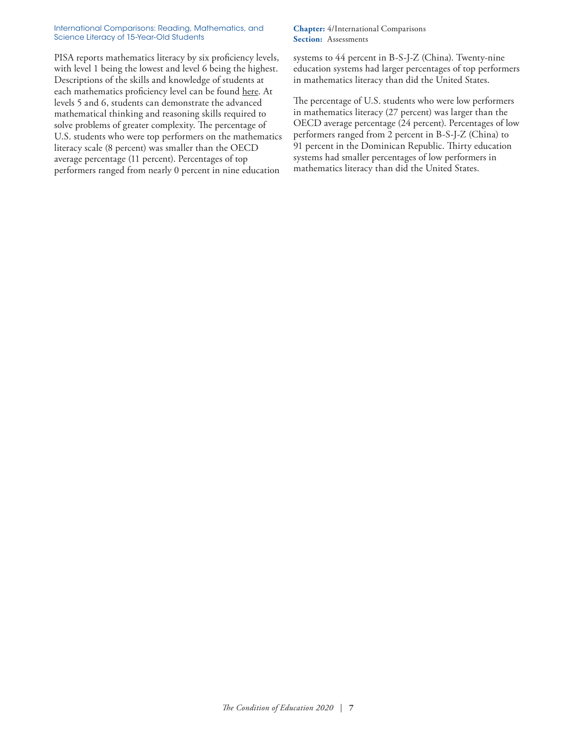PISA reports mathematics literacy by six proficiency levels, with level 1 being the lowest and level 6 being the highest. Descriptions of the skills and knowledge of students at each mathematics proficiency level can be found [here.](https://nces.ed.gov/surveys/pisa/pisa2018/pdf/MathProfLevelDescriptionV2.pdf) At levels 5 and 6, students can demonstrate the advanced mathematical thinking and reasoning skills required to solve problems of greater complexity. The percentage of U.S. students who were top performers on the mathematics literacy scale (8 percent) was smaller than the OECD average percentage (11 percent). Percentages of top performers ranged from nearly 0 percent in nine education

# **Chapter:** 4/International Comparisons **Section:** Assessments

systems to 44 percent in B-S-J-Z (China). Twenty-nine education systems had larger percentages of top performers in mathematics literacy than did the United States.

The percentage of U.S. students who were low performers in mathematics literacy (27 percent) was larger than the OECD average percentage (24 percent). Percentages of low performers ranged from 2 percent in B-S-J-Z (China) to 91 percent in the Dominican Republic. Thirty education systems had smaller percentages of low performers in mathematics literacy than did the United States.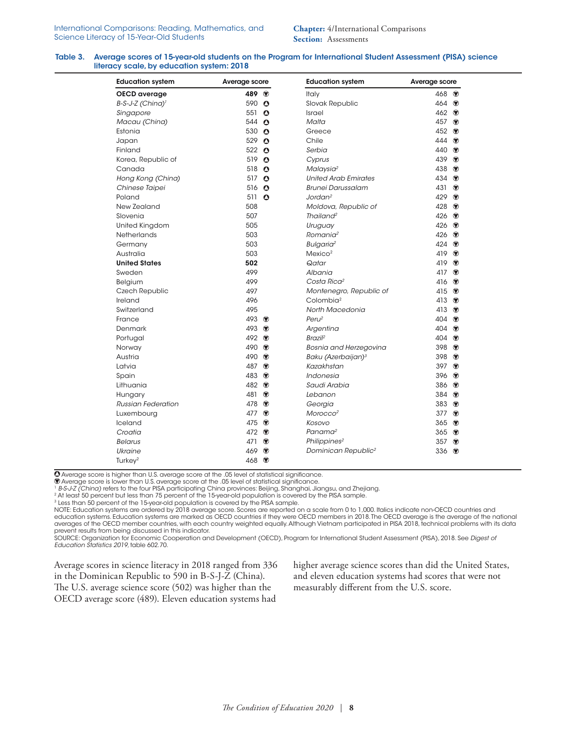#### Table 3. Average scores of 15-year-old students on the Program for International Student Assessment (PISA) science literacy scale, by education system: 2018

| <b>Education system</b>      | Average score     |               | <b>Education system</b>         | Average score |                |  |
|------------------------------|-------------------|---------------|---------------------------------|---------------|----------------|--|
| OECD average                 | 489 ↔             |               | Italy                           | 468 ↔         |                |  |
| B-S-J-Z (China) <sup>1</sup> | 590 $\bullet$     |               | Slovak Republic                 | 464 $\bullet$ |                |  |
| Singapore                    | 551 $\bullet$     |               | <b>Israel</b>                   | 462 $\bullet$ |                |  |
| Macau (China)                | 544               | $\bullet$     | Malta                           | 457           | $\bullet$      |  |
| Estonia                      | 530               | $\bullet$     | Greece                          | 452           | $\circledast$  |  |
| Japan                        | 529               | $\bullet$     | Chile                           | 444           | $\bullet$      |  |
| Finland                      | 522 △             |               | Serbia                          | 440 ↔         |                |  |
| Korea, Republic of           | 519               | $\bullet$     | Cyprus                          | 439           | $\circledast$  |  |
| Canada                       | 518               | $\bullet$     | Malaysia <sup>2</sup>           | 438           | ◉              |  |
| Hong Kong (China)            | 517               | $\bullet$     | <b>United Arab Emirates</b>     | 434           | $\circledast$  |  |
| Chinese Taipei               | 516               | $\bullet$     | <b>Brunei Darussalam</b>        | 431           | $\circledast$  |  |
| Poland                       | 511 $\bullet$     |               | Jordan <sup>2</sup>             | 429           | $\bullet$      |  |
| New Zealand                  | 508               |               | Moldova, Republic of            | 428           | $\circledast$  |  |
| Slovenia                     | 507               |               | Thailand <sup>2</sup>           | 426           | $\circledcirc$ |  |
| United Kingdom               | 505               |               | Uruguay                         | 426           | $\bullet$      |  |
| Netherlands                  | 503               |               | Romania <sup>2</sup>            | 426           | $\bullet$      |  |
| Germany                      | 503               |               | Bulgaria <sup>2</sup>           | 424           | $\bullet$      |  |
| Australia                    | 503               |               | Mexico <sup>2</sup>             | 419           | $\bullet$      |  |
| <b>United States</b>         | 502               |               | Qatar                           | 419           | $\circledast$  |  |
| Sweden                       | 499               |               | Albania                         | 417           | $\circledast$  |  |
| Belgium                      | 499               |               | Costa Rica <sup>2</sup>         | 416           | $\circledcirc$ |  |
| Czech Republic               | 497               |               | Montenegro, Republic of         | 415           | $\bullet$      |  |
| Ireland                      | 496               |               | Colombia <sup>2</sup>           | 413           | $\circledast$  |  |
| Switzerland                  | 495               |               | North Macedonia                 | 413           | $\circledast$  |  |
| France                       | 493 $\circledast$ |               | Peru <sup>2</sup>               | 404           | $\bullet$      |  |
| Denmark                      | 493 ↔             |               | Argentina                       | 404           | $\bullet$      |  |
| Portugal                     | 492 ↔             |               | Brazil <sup>2</sup>             | 404           | $\circledcirc$ |  |
| Norway                       | 490 ♥             |               | <b>Bosnia and Herzegovina</b>   | 398           | $\bullet$      |  |
| Austria                      | 490 ↔             |               | Baku (Azerbaijan) <sup>3</sup>  | 398           | $\circledast$  |  |
| Latvia                       | 487 ♥             |               | Kazakhstan                      | 397           | $\circledast$  |  |
| Spain                        | 483 ♥             |               | Indonesia                       | 396           | $\circledast$  |  |
| Lithuania                    | 482 $\bullet$     |               | Saudi Arabia                    | 386           | ◉              |  |
| Hungary                      | 481 ♥             |               | Lebanon                         | 384           | $\circledcirc$ |  |
| <b>Russian Federation</b>    | 478               | ◉             | Georgia                         | 383           | $\bullet$      |  |
| Luxembourg                   | 477 ♥             |               | Morocco <sup>2</sup>            | 377           | $\bullet$      |  |
| Iceland                      | 475 ↔             |               | Kosovo                          | 365           | $\bullet$      |  |
| Croatia                      | 472 ♥             |               | Panama <sup>2</sup>             | 365           | ◉              |  |
| <b>Belarus</b>               | 471 ♥             |               | Philippines <sup>2</sup>        | 357           | $\circledast$  |  |
| Ukraine                      | 469               | $\circledast$ | Dominican Republic <sup>2</sup> | 336           | $^{\circ}$     |  |
| Turkey $2$                   | 468 ♥             |               |                                 |               |                |  |

Average score is higher than U.S. average score at the .05 level of statistical significance.

Average score is lower than U.S. average score at the .05 level of statistical significance.

<sup>2</sup> At least 50 percent but less than 75 percent of the 15-year-old population is covered by the PISA sample.

3 Less than 50 percent of the 15-year-old population is covered by the PISA sample.

NOTE: Education systems are ordered by 2018 average score. Scores are reported on a scale from 0 to 1,000. Italics indicate non-OECD countries and<br>education systems. Education systems are marked as OECD countries if they w

prevent results from being discussed in this indicator.<br>SOURCE: Organization for Economic Cooperation and Development (OECD), Program for International Student Assessment (PISA), 2018. See *Digest of Education Statistics 2019*, table 602.70.

Average scores in science literacy in 2018 ranged from 336 in the Dominican Republic to 590 in B-S-J-Z (China). The U.S. average science score (502) was higher than the OECD average score (489). Eleven education systems had

higher average science scores than did the United States, and eleven education systems had scores that were not measurably different from the U.S. score.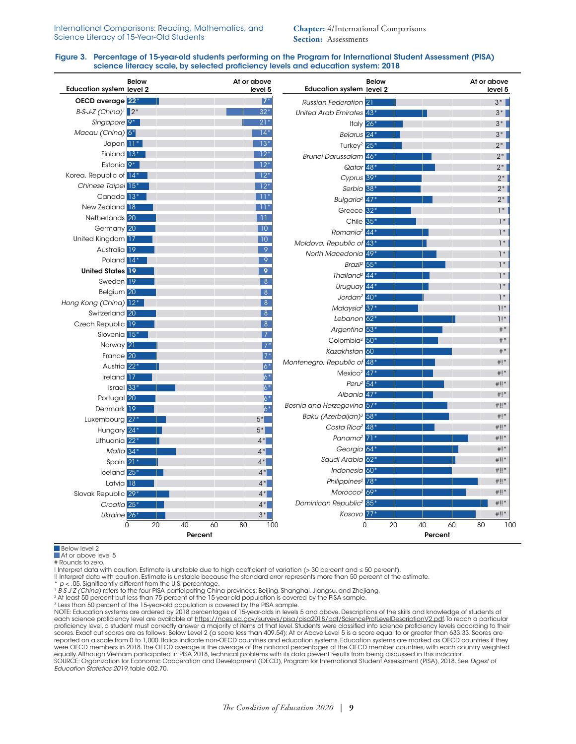**Chapter:** 4/International Comparisons **Section:** Assessments

### Figure 3. Percentage of 15-year-old students performing on the Program for International Student Assessment (PISA) science literacy scale, by selected proficiency levels and education system: 2018

| <b>Education system level 2</b>                            | <b>Below</b> | At or above               | level 5          | <b>Education system level 2</b>                 | <b>Below</b> |               | At or above | level 5 |
|------------------------------------------------------------|--------------|---------------------------|------------------|-------------------------------------------------|--------------|---------------|-------------|---------|
| OECD average 22*                                           |              |                           | $7*$             | <b>Russian Federation</b> 21                    |              |               |             | $3^*$   |
| $B-S-J-Z$ (China) <sup><math>1</math></sup> 2 <sup>*</sup> |              |                           | $32*$            | United Arab Emirates 43*                        |              |               |             | $3^*$   |
| Singapore <sup>9*</sup>                                    |              |                           | $21*$            | Italy $26*$                                     |              |               |             | $3^*$   |
| Macau (China) 6*                                           |              |                           | $14*$            | Belarus <sup>24*</sup>                          |              |               |             | $3^*$   |
| Japan <sup>11</sup>                                        |              |                           | $13*$            | Turkey <sup>2</sup> 25 <sup>*</sup>             |              |               |             | $2^*$   |
| Finland 13*                                                |              |                           | $12*$            | <b>Brunei Darussalam</b> 46 <sup>+</sup>        |              |               |             | $2^*$   |
| Estonia <sup>9*</sup>                                      |              |                           | $12*$            | Qatar 48*                                       |              |               |             | $2^*$   |
| Korea, Republic of 14*                                     |              |                           | $12*$            | Cyprus 39*                                      |              |               |             | $2^*$   |
| Chinese Taipei 15*                                         |              |                           | $12*$            | Serbia <sup>38*</sup>                           |              |               |             | $2*$    |
| Canada <sup>13*</sup>                                      |              |                           | $11*$            | Bulgaria <sup>2</sup> 47 <sup>*</sup>           |              |               |             | $2^*$   |
| New Zealand 18                                             |              |                           | $11*$            | Greece <sup>32*</sup>                           |              |               |             | $1*$    |
| Netherlands <sup>20</sup>                                  |              |                           | -11              | Chile 35*                                       |              |               |             | $1*$    |
| Germany <sup>20</sup>                                      |              |                           | 10               | Romania <sup>2</sup> 44 <sup>*</sup>            |              |               |             | $1*$    |
| United Kingdom 17                                          |              |                           | 10               | Moldova, Republic of 43*                        |              |               |             | $1*$    |
| Australia 19                                               |              |                           | 9                | North Macedonia 49*                             |              |               |             | $1*$    |
| Poland 14*                                                 |              |                           | $\overline{9}$   | Brazil <sup>2</sup>                             | 55*          |               |             | $1*$    |
| <b>United States 19</b>                                    |              |                           | 9                | Thailand <sup>2</sup> 44 <sup>*</sup>           |              |               |             | $1*$    |
| Sweden <sup>19</sup>                                       |              |                           | 8                | Uruguay 44*                                     |              |               |             | $1*$    |
| Belgium 20                                                 |              |                           | 8                | Jordan <sup>2</sup> $40*$                       |              |               |             | $1*$    |
| Hong Kong (China) 12*                                      |              |                           | 8                | Malaysia <sup>2</sup> 37*                       |              |               |             | 1!      |
| Switzerland 20                                             |              |                           | 8                | Lebanon $62*$                                   |              |               |             | 1!      |
| Czech Republic 19                                          |              |                           | 8                | Argentina <sup>53*</sup>                        |              |               |             | $\#$ *  |
| Slovenia 15 <sup>*</sup>                                   |              |                           | $\overline{7}$   | Colombia <sup>2</sup> 50 <sup>*</sup>           |              |               |             | $#$ *   |
| Norway 21                                                  |              |                           | $7*$             | Kazakhstan 60                                   |              |               |             | $#$ *   |
| France 20                                                  |              |                           | $7*$             | Montenegro, Republic of 48*                     |              |               |             | $#$ !*  |
| Austria 22 <sup>*</sup>                                    |              |                           | $ 6^*$           | Mexico <sup>2</sup> $47*$                       |              |               |             | $#$ !*  |
| Ireland 17                                                 |              |                           | $\overline{6}^*$ | Peru $2$ 54 $*$                                 |              |               |             | $#!!$ * |
| Israel $33*$                                               |              |                           | $6*$             | Albania 47*                                     |              |               |             | $#$ !*  |
| Portugal 20                                                |              |                           | $6*$             | Bosnia and Herzegovina 57*                      |              |               |             | $#  $ * |
| Denmark 19                                                 |              |                           | $6*$             |                                                 |              |               |             | $#$ !*  |
| Luxembourg 27                                              |              |                           | $5*$             | Baku (Azerbaijan) <sup>3</sup> 58*              |              |               |             |         |
| Hungary 24*                                                |              |                           | $5^*$            | Costa Rica <sup>2</sup> 48 <sup>*</sup>         |              |               |             | $#!!$ * |
| Lithuania 22*                                              |              |                           | $4*$             | Panama <sup>2</sup> $71*$                       |              |               |             | #!!*    |
| Malta 34                                                   |              |                           | $4^*$            | Georgia 64*                                     |              |               |             | $#$ !*  |
| Spain 21                                                   |              |                           | $4^*$            | Saudi Arabia 62*                                |              |               |             | $#!!$ * |
| Iceland 25*                                                |              |                           | $4*$             | Indonesia 60*                                   |              |               |             | $#!!$ * |
| Latvia <sup>18</sup>                                       |              |                           | $4*$             | Philippines <sup>2</sup> 78 <sup>*</sup>        |              |               |             | $#  $ * |
| Slovak Republic 29*                                        |              |                           | $4*$             | Morocco <sup>2</sup> 69*                        |              |               |             | $#!!$ * |
| Croatia <sup>25*</sup>                                     |              |                           | $4^*$            | Dominican Republic <sup>2</sup> 85 <sup>*</sup> |              |               |             | $#!!$ * |
| Ukraine <sup>26*</sup>                                     |              |                           | $3^*$            | Kosovo 77*                                      |              |               |             | $*!!$   |
|                                                            | 20<br>0      | 40<br>60<br>80<br>Percent | 100              | 0                                               | 20           | 40<br>Percent | 60<br>80    | 100     |
|                                                            |              |                           |                  |                                                 |              |               |             |         |

Below level 2 At or above level 5

# Rounds to zero.

! Interpret data with caution. Estimate is unstable due to high coefficient of variation (> 30 percent and ≤ 50 percent).

!! Interpret data with caution. Estimate is unstable because the standard error represents more than 50 percent of the estimate.

\* p < .05. Significantly different from the U.S. percentage.<br><sup>1</sup> B-S-J-Z (China) refers to the four PISA participating China provinces: Beijing, Shanghai, Jiangsu, and Zhejiang.<br><sup>2</sup> At least 50 percent but less than 75 per

<sup>3</sup> Less than 50 percent of the 15-year-old population is covered by the PISA sample.

NOTE: Education systems are ordered by 2018 percentages of 15-year-olds in levels 5 and above. Descriptions of the skills and knowledge of students at each science proficiency level are available at [https://nces.ed.gov/surveys/pisa/pisa2018/pdf/ScienceProfLevelDescriptionV2.pdf.](https://nces.ed.gov/surveys/pisa/pisa2018/pdf/ScienceProfLevelDescriptionV2.pdf) To reach a particular proficiency level, a student must correctly answer a majority of items at that level. Students were classified into science proficiency levels according to their<br>scores. Exact cut scores are as follows: Below Level 2 (a sc reported on a scale from 0 to 1,000. Italics indicate non-OECD countries and education systems. Education systems are marked as OECD countries if they were OECD members in 2018. The OECD average is the average of the national percentages of the OECD member countries, with each country weighted equally. Although Vietnam participated in PISA 2018, technical problems with its data prevent results from being discussed in this indicator SOURCE: Organization for Economic Cooperation and Development (OECD), Program for International Student Assessment (PISA), 2018. See *Digest of Education Statistics 2019*, table 602.70.